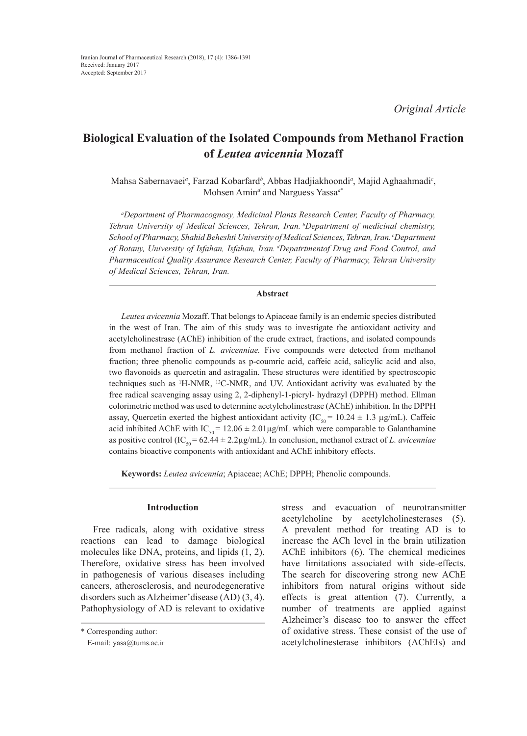# **Biological Evaluation of the Isolated Compounds from Methanol Fraction of** *Leutea avicennia* **Mozaff**

Mahsa Sabernavaei*<sup>a</sup>* , Farzad Kobarfard*<sup>b</sup>* , Abbas Hadjiakhoondi*<sup>a</sup>* , Majid Aghaahmadi*<sup>c</sup>* , Mohsen Amin*<sup>d</sup>* and Narguess Yassa*<sup>a</sup>*\*

*a Department of Pharmacognosy, Medicinal Plants Research Center, Faculty of Pharmacy, Tehran University of Medical Sciences, Tehran, Iran. bDepatrtment of medicinal chemistry, School of Pharmacy, Shahid Beheshti University of Medical Sciences, Tehran, Iran. cDepartment of Botany, University of Isfahan, Isfahan, Iran. dDepatrtmentof Drug and Food Control, and Pharmaceutical Quality Assurance Research Center, Faculty of Pharmacy, Tehran University of Medical Sciences, Tehran, Iran.*

# **Abstract**

*Leutea avicennia* Mozaff. That belongs to Apiaceae family is an endemic species distributed in the west of Iran. The aim of this study was to investigate the antioxidant activity and acetylcholinestrase (AChE) inhibition of the crude extract, fractions, and isolated compounds from methanol fraction of *L. avicenniae.* Five compounds were detected from methanol fraction; three phenolic compounds as p-coumric acid, caffeic acid, salicylic acid and also, two flavonoids as quercetin and astragalin. These structures were identified by spectroscopic techniques such as  $\mathrm{H}\text{-NMR}$ ,  $\mathrm{H}\text{-C}\text{-NMR}$ , and UV. Antioxidant activity was evaluated by the free radical scavenging assay using 2, 2-diphenyl-1-picryl- hydrazyl (DPPH) method. Ellman colorimetric method was used to determine acetylcholinestrase (AChE) inhibition. In the DPPH assay, Quercetin exerted the highest antioxidant activity (IC<sub>50</sub> = 10.24  $\pm$  1.3 µg/mL). Caffeic acid inhibited AChE with IC<sub>50</sub> = 12.06  $\pm$  2.01µg/mL which were comparable to Galanthamine as positive control (IC<sub>50</sub> = 62.44  $\pm$  2.2µg/mL). In conclusion, methanol extract of *L. avicenniae* contains bioactive components with antioxidant and AChE inhibitory effects.

**Keywords:** *Leutea avicennia*; Apiaceae; AChE; DPPH; Phenolic compounds.

## **Introduction**

Free radicals, along with oxidative stress reactions can lead to damage biological molecules like DNA, proteins, and lipids (1, 2). Therefore, oxidative stress has been involved in pathogenesis of various diseases including cancers, atherosclerosis, and neurodegenerative disorders such as Alzheimer'disease (AD) (3, 4). Pathophysiology of AD is relevant to oxidative

stress and evacuation of neurotransmitter acetylcholine by acetylcholinesterases (5). A prevalent method for treating AD is to increase the ACh level in the brain utilization AChE inhibitors (6). The chemical medicines have limitations associated with side-effects. The search for discovering strong new AChE inhibitors from natural origins without side effects is great attention (7). Currently, a number of treatments are applied against Alzheimer's disease too to answer the effect of oxidative stress. These consist of the use of acetylcholinesterase inhibitors (AChEIs) and

<sup>\*</sup> Corresponding author:

E-mail: yasa@tums.ac.ir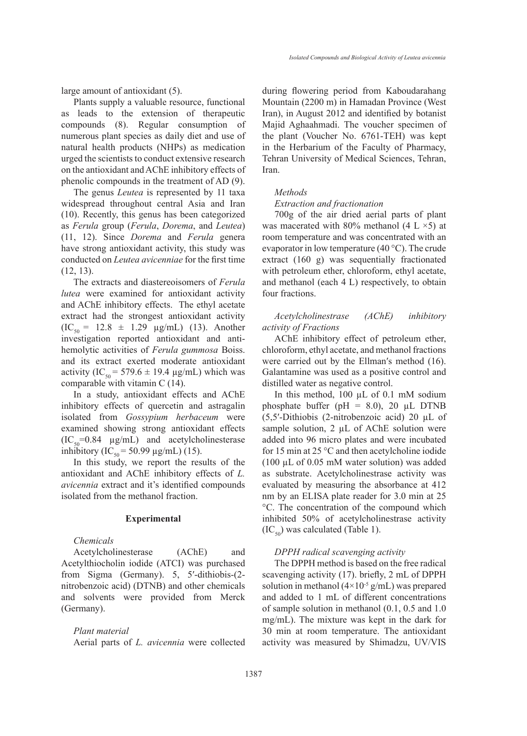large amount of antioxidant (5).

Plants supply a valuable resource, functional as leads to the extension of therapeutic compounds (8). Regular consumption of numerous plant species as daily diet and use of natural health products (NHPs) as medication urged the scientists to conduct extensive research on the antioxidant and AChE inhibitory effects of phenolic compounds in the treatment of AD (9).

The genus *Leutea* is represented by 11 taxa widespread throughout central Asia and Iran (10). Recently, this genus has been categorized as *Ferula* group (*Ferula*, *Dorema*, and *Leutea*) (11, 12). Since *Dorema* and *Ferula* genera have strong antioxidant activity, this study was conducted on *Leutea avicenniae* for the first time (12, 13).

The extracts and diastereoisomers of *Ferula lutea* were examined for antioxidant activity and AChE inhibitory effects. The ethyl acetate extract had the strongest antioxidant activity  $(IC_{50} = 12.8 \pm 1.29 \mu g/mL)$  (13). Another investigation reported antioxidant and antihemolytic activities of *Ferula gummosa* Boiss. and its extract exerted moderate antioxidant activity (IC<sub>50</sub> = 579.6  $\pm$  19.4 µg/mL) which was comparable with vitamin C (14).

In a study, antioxidant effects and AChE inhibitory effects of quercetin and astragalin isolated from *Gossypium herbaceum* were examined showing strong antioxidant effects  $(IC_{50}=0.84 \mu g/mL)$  and acetylcholinesterase inhibitory (IC<sub>50</sub> = 50.99 µg/mL) (15).

In this study, we report the results of the antioxidant and AChE inhibitory effects of *L. avicennia* extract and it's identified compounds isolated from the methanol fraction.

## **Experimental**

*Chemicals*

Acetylcholinesterase (AChE) and Acetylthiocholin iodide (ATCI) was purchased from Sigma (Germany). 5, 5′-dithiobis-(2 nitrobenzoic acid) (DTNB) and other chemicals and solvents were provided from Merck (Germany).

# *Plant material*

Aerial parts of *L. avicennia* were collected

during flowering period from Kaboudarahang Mountain (2200 m) in Hamadan Province (West Iran), in August 2012 and identified by botanist Majid Aghaahmadi. The voucher specimen of the plant (Voucher No. 6761-TEH) was kept in the Herbarium of the Faculty of Pharmacy, Tehran University of Medical Sciences, Tehran, Iran.

#### *Methods*

#### *Extraction and fractionation*

700g of the air dried aerial parts of plant was macerated with 80% methanol (4 L  $\times$ 5) at room temperature and was concentrated with an evaporator in low temperature (40 °C). The crude extract (160 g) was sequentially fractionated with petroleum ether, chloroform, ethyl acetate, and methanol (each 4 L) respectively, to obtain four fractions.

*Acetylcholinestrase (AChE) inhibitory activity of Fractions*

AChE inhibitory effect of petroleum ether, chloroform, ethyl acetate, and methanol fractions were carried out by the Ellman′s method (16). Galantamine was used as a positive control and distilled water as negative control.

In this method, 100 µL of 0.1 mM sodium phosphate buffer (pH =  $8.0$ ), 20 µL DTNB (5,5′-Dithiobis (2-nitrobenzoic acid) 20 µL of sample solution,  $2 \mu L$  of AChE solution were added into 96 micro plates and were incubated for 15 min at 25 °C and then acetylcholine iodide (100 µL of 0.05 mM water solution) was added as substrate. Acetylcholinestrase activity was evaluated by measuring the absorbance at 412 nm by an ELISA plate reader for 3.0 min at 25 °C. The concentration of the compound which inhibited 50% of acetylcholinestrase activity  $(IC_{50})$  was calculated (Table 1).

## *DPPH radical scavenging activity*

The DPPH method is based on the free radical scavenging activity (17). briefly, 2 mL of DPPH solution in methanol  $(4\times10^{-5} \text{ g/mL})$  was prepared and added to 1 mL of different concentrations of sample solution in methanol (0.1, 0.5 and 1.0 mg/mL). The mixture was kept in the dark for 30 min at room temperature. The antioxidant activity was measured by Shimadzu, UV/VIS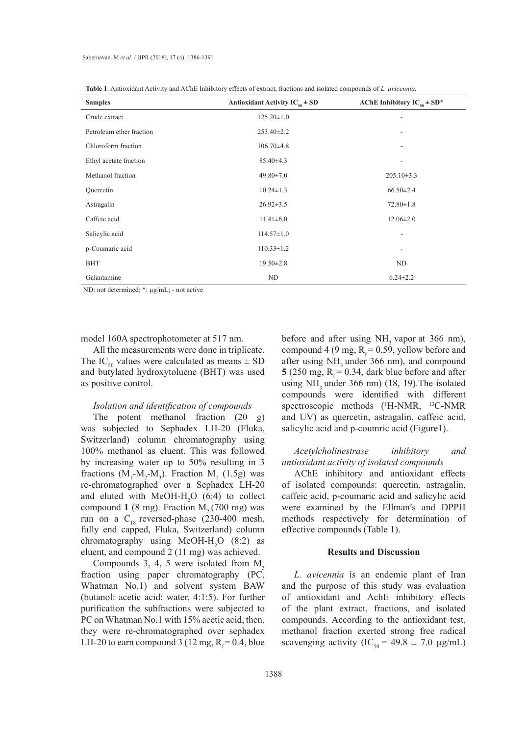| <b>Table 1.</b> Antioxidant Activity and AChE Inhibitory effects of extract, fractions and isolated compounds of L. avicennia. |  |
|--------------------------------------------------------------------------------------------------------------------------------|--|
|--------------------------------------------------------------------------------------------------------------------------------|--|

| <b>Samples</b>           | Antioxidant Activity $IC_{50} \pm SD$ | AChE Inhibitory $IC_{50} \pm SD^*$ |
|--------------------------|---------------------------------------|------------------------------------|
| Crude extract            | $125.20 \pm 1.0$                      | ٠                                  |
| Petroleum ether fraction | $253.40 \pm 2.2$                      | ۰                                  |
| Chloroform fraction      | $106.70 \pm 4.8$                      | ۰                                  |
| Ethyl acetate fraction   | $85.40\pm4.3$                         | ۰                                  |
| Methanol fraction        | $49.80 \pm 7.0$                       | $205.10\pm3.3$                     |
| Quercetin                | $10.24 \pm 1.3$                       | $66.50 \pm 2.4$                    |
| Astragalin               | $26.92 \pm 3.5$                       | $72.80 \pm 1.8$                    |
| Caffeic acid             | $11.41 \pm 6.0$                       | $12.06 \pm 2.0$                    |
| Salicylic acid           | $114.57 \pm 1.0$                      |                                    |
| p-Coumaric acid          | $110.33 \pm 1.2$                      | Ē,                                 |
| <b>BHT</b>               | $19.50 \pm 2.8$                       | ND                                 |
| Galantamine              | ND                                    | $6.24 \pm 2.2$                     |

ND: not determined; \*: µg/mL; - not active

model 160A spectrophotometer at 517 nm.

All the measurements were done in triplicate. The IC<sub>50</sub> values were calculated as means  $\pm$  SD and butylated hydroxytoluene (BHT) was used as positive control.

# *Isolation and identification of compounds*

The potent methanol fraction (20 g) was subjected to Sephadex LH-20 (Fluka, Switzerland) column chromatography using 100% methanol as eluent. This was followed by increasing water up to 50% resulting in 3 fractions  $(M_1-M_2-M_3)$ . Fraction  $M_1$  (1.5g) was re-chromatographed over a Sephadex LH-20 and eluted with  $MeOH-H_2O$  (6:4) to collect compound  $1$  (8 mg). Fraction  $M<sub>2</sub>$  (700 mg) was run on a  $C_{18}$  reversed-phase (230-400 mesh, fully end capped, Fluka, Switzerland) column chromatography using MeOH- $H_2O$  (8:2) as eluent, and compound 2 (11 mg) was achieved.

Compounds 3, 4, 5 were isolated from  $M<sub>3</sub>$ fraction using paper chromatography (PC, Whatman No.1) and solvent system BAW (butanol: acetic acid: water, 4:1:5). For further purification the subfractions were subjected to PC on Whatman No.1 with 15% acetic acid, then, they were re-chromatographed over sephadex LH-20 to earn compound 3 (12 mg,  $R_f = 0.4$ , blue before and after using  $NH<sub>3</sub>$  vapor at 366 nm), compound 4 (9 mg,  $R_f = 0.59$ , yellow before and after using NH<sub>3</sub> under 366 nm), and compound **5** (250 mg,  $R_f = 0.34$ , dark blue before and after using  $NH<sub>3</sub>$  under 366 nm) (18, 19). The isolated compounds were identified with different spectroscopic methods (<sup>1</sup>H-NMR, <sup>13</sup>C-NMR and UV) as quercetin, astragalin, caffeic acid, salicylic acid and p-coumric acid (Figure1).

*Acetylcholinestrase inhibitory and antioxidant activity of isolated compounds*

AChE inhibitory and antioxidant effects of isolated compounds: quercetin, astragalin, caffeic acid, p-coumaric acid and salicylic acid were examined by the Ellman′s and DPPH methods respectively for determination of effective compounds (Table 1).

## **Results and Discussion**

*L. avicennia* is an endemic plant of Iran and the purpose of this study was evaluation of antioxidant and AchE inhibitory effects of the plant extract, fractions, and isolated compounds. According to the antioxidant test, methanol fraction exerted strong free radical scavenging activity (IC<sub>50</sub> = 49.8  $\pm$  7.0 µg/mL)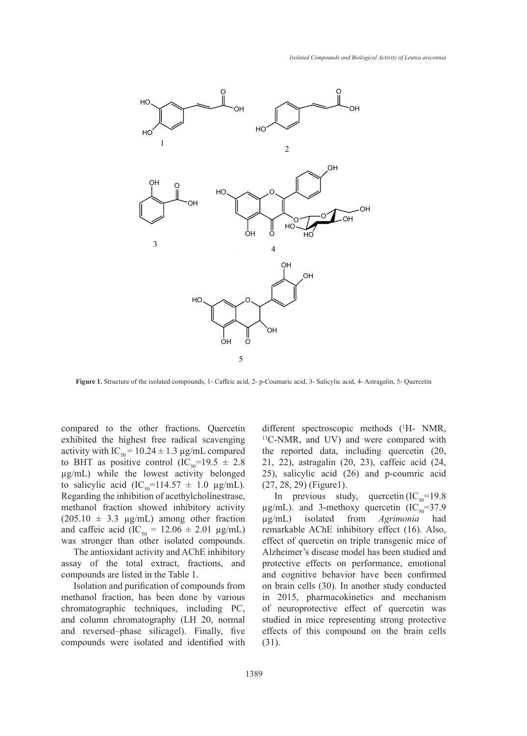

**Figure 1.** Structure of the isolated compounds, 1- Caffeic acid, 2- p-Coumaric acid, 3- Salicylic acid, 4- Astragalin, 5- Quercetin

compared to the other fractions. Quercetin exhibited the highest free radical scavenging activity with  $IC_{50} = 10.24 \pm 1.3 \,\mu g/mL$  compared to BHT as positive control  $(IC_{50} = 19.5 \pm 2.8)$ µg/mL) while the lowest activity belonged to salicylic acid  $(IC_{50} = 114.57 \pm 1.0 \text{ }\mu\text{g/mL})$ .  $(27, 28, 29)$  (Figure 1). Regarding the inhibition of acethylcholinestrase, methanol fraction showed inhibitory activity  $(205.10 \pm 3.3 \text{ µg/mL})$  among other fraction and caffeic acid  $(IC_{50} = 12.06 \pm 2.01 \text{ µg/mL})$ was stronger than other isolated compounds.  $\frac{1}{2}$  ( $\frac{1}{30}$  117.97 = 1.0  $\mu$ g/m). (27, 29, 29) (11g/m).  $\cos \phi = 2.01$   $\mu$ g/mL).

The antioxidant activity and AChE inhibitory assay of the total extract, fractions, and compounds are listed in the Table 1.

Isolation and purification of compounds from methanol fraction, has been done by various chromatographic techniques, including PC, and column chromatography (LH 20, normal and reversed–phase silicagel). Finally, five compounds were isolated and identified with

other fractions. Quercetin different spectroscopic methods (<sup>1</sup>H- NM other fractions. Quercetin different spectroscopic methods (<sup>1</sup>H- NMR, st free radical scavenging <sup>13</sup>C-NMR, and UV) and were compared with the reported data, including quercetin (20, e control  $(IC_{50} = 19.5 \pm 2.8 \quad 21, 22)$ , astragalin (20, 23), caffeic acid (24, lowest activity belonged  $25$ , salicylic acid  $(26)$  and p-coumric acid  $\pm$  1.0  $\mu$ g/mL). (27, 28, 29) (Figure1). *Accreding L-with, and OV) and wele compared with* 

hibition of acethylcholinestrase,  $\qquad \qquad$  In previous study, quercetin  $(IC_{50} = 19.8)$ on showed inhibitory activity  $\mu$ g/mL). and 3-methoxy quercetin (IC<sub>50</sub>=37.9 ong other fraction  $\mu$ g/mL) isolated from *Agrimonia* had remarkable AChE inhibitory effect (16). Also, effect of quercetin on triple transgenic mice of Alzheimer's disease model has been studied and protective effects on performance, emotional and cognitive behavior have been confirmed on brain cells (30). In another study conducted in 2015, pharmacokinetics and mechanism of neuroprotective effect of quercetin was studied in mice representing strong protective effects of this compound on the brain cells (31). carried action and salice acid and salice acid and salice and salice and salice and salice and salice and salice and salice and salice and salice and salice and salice and salice and salice and salice and salice and salic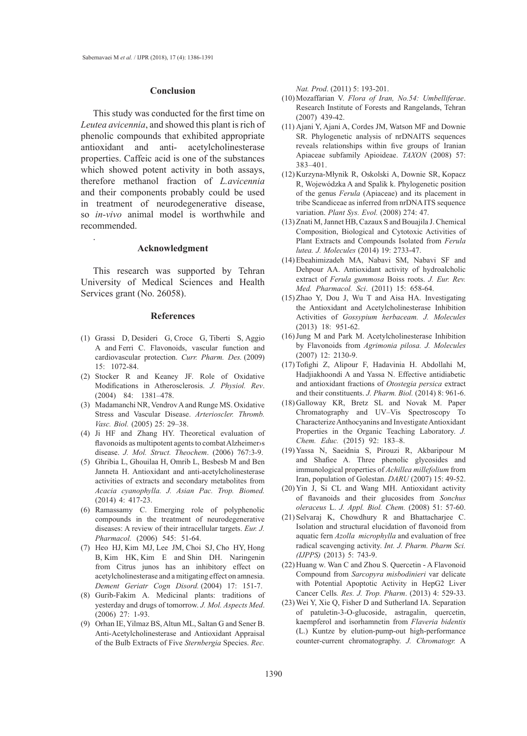### **Conclusion**

This study was conducted for the first time on *Leutea avicennia*, and showed this plant is rich of phenolic compounds that exhibited appropriate antioxidant and anti- acetylcholinesterase properties. Caffeic acid is one of the substances which showed potent activity in both assays, therefore methanol fraction of *L.avicennia* and their components probably could be used in treatment of neurodegenerative disease, so *in-vivo* animal model is worthwhile and recommended.

### **Acknowledgment**

.

This research was supported by Tehran University of Medical Sciences and Health Services grant (No. 26058).

### **References**

- Grassi D, Desideri G, Croce G, Tiberti S, Aggio (1) A and Ferri C. Flavonoids, vascular function and cardiovascular protection. *Curr. Pharm. Des.* (2009) 15: 1072-84.
- (2) Stocker R and Keaney JF. Role of Oxidative Modifications in Atherosclerosis. *J. Physiol. Rev*. (2004) 84: 1381–478.
- (3) Madamanchi NR, Vendrov A and Runge MS. Oxidative Stress and Vascular Disease. *Arterioscler. Thromb. Vasc. Biol.* (2005) 25: 29–38.
- (4) Ji HF and Zhang HY. Theoretical evaluation of flavonoids as multipotent agents to combat Alzheimer›s disease. *J. Mol. Struct. Theochem*. (2006) 767:3-9.
- Ghribia L, Ghouilaa H, Omrib L, Besbesb M and Ben (5) Janneta H. Antioxidant and anti-acetylcholinesterase activities of extracts and secondary metabolites from *Acacia cyanophylla. J. Asian Pac. Trop. Biomed.* (2014) 4: 417-23.
- Ramassamy C. Emerging role of polyphenolic (6) compounds in the treatment of neurodegenerative diseases: A review of their intracellular targets. *Eur. J. Pharmacol.* (2006) 545: 51-64.
- (7) Heo HJ, Kim MJ, Lee JM, Choi SJ, Cho HY, Hong B, Kim HK, Kim E and Shin DH. Naringenin from Citrus junos has an inhibitory effect on acetylcholinesterase and a mitigating effect on amnesia. *Dement Geriatr Cogn Disord.* (2004) 17: 151-7.
- Gurib-Fakim A. Medicinal plants: traditions of (8) yesterday and drugs of tomorrow. *J. Mol. Aspects Med*. (2006) 27: 1-93.
- (9) Orhan IE, Yilmaz BS, Altun ML, Saltan G and Sener B. Anti-Acetylcholinesterase and Antioxidant Appraisal of the Bulb Extracts of Five *Sternbergia* Species. *Rec.*

*Nat. Prod*. (2011) 5: 193-201.

- Mozaffarian V. *Flora of Iran, No.54: Umbelliferae*. (10) Research Institute of Forests and Rangelands, Tehran (2007) 439-42.
- Ajani Y, Ajani A, Cordes JM, Watson MF and Downie (11) SR. Phylogenetic analysis of nrDNAITS sequences reveals relationships within five groups of Iranian Apiaceae subfamily Apioideae. *TAXON* (2008) 57: 383–401.
- (12) Kurzyna-Młynik R, Oskolski A, Downie SR, Kopacz R, Wojewódzka A and Spalik k. Phylogenetic position of the genus *Ferula* (Apiaceae) and its placement in tribe Scandiceae as inferred from nrDNA ITS sequence variation. *Plant Sys. Evol.* (2008) 274: 47.
- (13) Znati M, Jannet HB, Cazaux S and Bouajila J. Chemical Composition, Biological and Cytotoxic Activities of Plant Extracts and Compounds Isolated from *Ferula lutea. J. Molecules* (2014) 19: 2733-47.
- Ebeahimizadeh MA, Nabavi SM, Nabavi SF and (14) Dehpour AA. Antioxidant activity of hydroalcholic extract of *Ferula gummosa* Boiss roots. *J. Eur. Rev. Med. Pharmacol. Sci*. (2011) 15: 658-64.
- $(15)$  Zhao Y, Dou J, Wu T and Aisa HA. Investigating the Antioxidant and Acetylcholinesterase Inhibition Activities of *Gossypium herbaceam. J. Molecules* (2013) 18: 951-62.
- (16) Jung M and Park M. Acetylcholinesterase Inhibition by Flavonoids from *Agrimonia pilosa. J. Molecules*  (2007) 12: 2130-9.
- Tofighi Z, Alipour F, Hadavinia H. Abdollahi M, (17) Hadjiakhoondi A and Yassa N. Effective antidiabetic and antioxidant fractions of *Otostegia persica* extract and their constituents. *J. Pharm. Biol.* (2014) 8: 961-6.
- (18) Galloway KR, Bretz SL and Novak M. Paper Chromatography and UV–Vis Spectroscopy To Characterize Anthocyanins and Investigate Antioxidant Properties in the Organic Teaching Laboratory. *J. Chem. Educ.* (2015) 92: 183–8.
- (19) Yassa N, Saeidnia S, Pirouzi R, Akbaripour M and Shafiee A. Three phenolic glycosides and immunological properties of *Achillea millefolium* from Iran, population of Golestan. *DARU* (2007) 15: 49-52.
- (20) Yin J, Si CL and Wang MH. Antioxidant activity of flavanoids and their glucosides from *Sonchus oleraceus* L. *J. Appl. Biol. Chem.* (2008) 51: 57-60.
- $(21)$  Selvaraj K, Chowdhury R and Bhattacharjee C. Isolation and structural elucidation of flavonoid from aquatic fern *Azolla microphylla* and evaluation of free radical scavenging activity. *Int. J. Pharm. Pharm Sci. (IJPPS)* (2013) 5: 743-9.
- (22) Huang w. Wan C and Zhou S. Quercetin A Flavonoid Compound from *Sarcopyra misbodinieri* var delicate with Potential Apoptotic Activity in HepG2 Liver Cancer Cells*. Res. J. Trop. Pharm*. (2013) 4: 529-33.
- Wei Y, Xie Q, Fisher D and Sutherland IA. Separation (23)of patuletin-3-O-glucoside, astragalin, quercetin, kaempferol and isorhamnetin from *Flaveria bidentis* (L.) Kuntze by elution-pump-out high-performance counter-current chromatography. *J. Chromatogr.* A